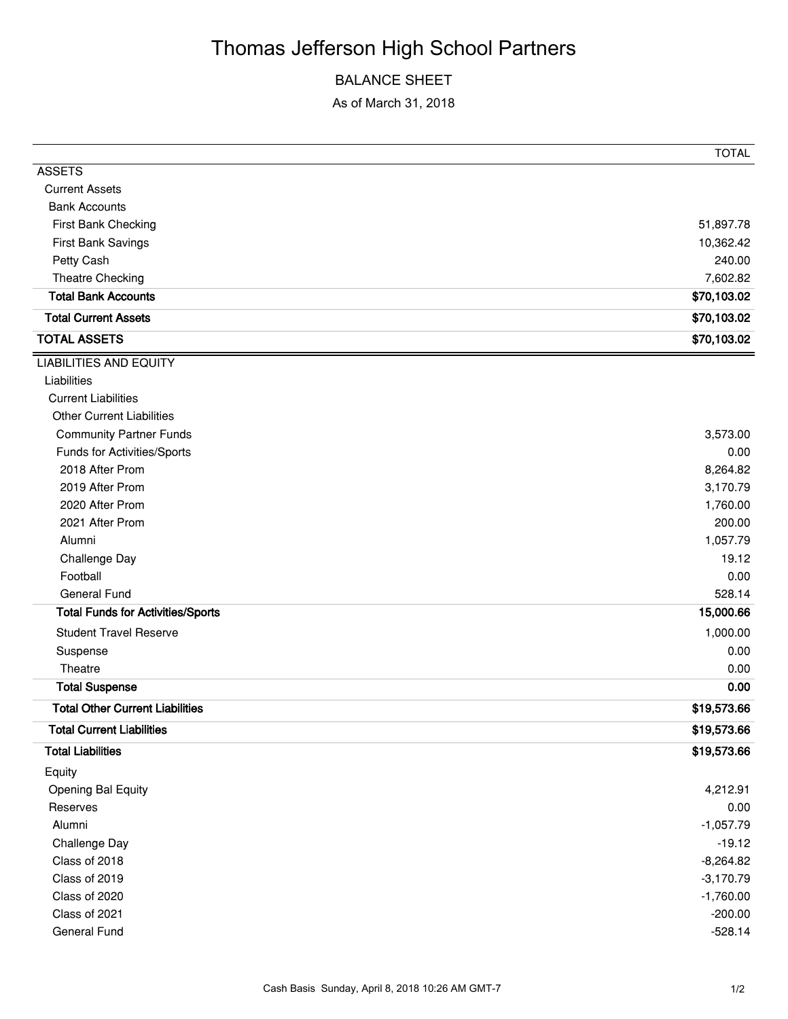# Thomas Jefferson High School Partners

### BALANCE SHEET

As of March 31, 2018

|                                          | <b>TOTAL</b> |
|------------------------------------------|--------------|
| <b>ASSETS</b>                            |              |
| <b>Current Assets</b>                    |              |
| <b>Bank Accounts</b>                     |              |
| First Bank Checking                      | 51,897.78    |
| First Bank Savings                       | 10,362.42    |
| Petty Cash                               | 240.00       |
| Theatre Checking                         | 7,602.82     |
| <b>Total Bank Accounts</b>               | \$70,103.02  |
| <b>Total Current Assets</b>              | \$70,103.02  |
| <b>TOTAL ASSETS</b>                      | \$70,103.02  |
| <b>LIABILITIES AND EQUITY</b>            |              |
| Liabilities                              |              |
| <b>Current Liabilities</b>               |              |
| <b>Other Current Liabilities</b>         |              |
| <b>Community Partner Funds</b>           | 3,573.00     |
| Funds for Activities/Sports              | 0.00         |
| 2018 After Prom                          | 8,264.82     |
| 2019 After Prom                          | 3,170.79     |
| 2020 After Prom                          | 1,760.00     |
| 2021 After Prom                          | 200.00       |
| Alumni                                   | 1,057.79     |
| Challenge Day                            | 19.12        |
| Football                                 | 0.00         |
| <b>General Fund</b>                      | 528.14       |
| <b>Total Funds for Activities/Sports</b> | 15,000.66    |
| <b>Student Travel Reserve</b>            | 1,000.00     |
| Suspense                                 | 0.00         |
| Theatre                                  | 0.00         |
| <b>Total Suspense</b>                    | 0.00         |
| <b>Total Other Current Liabilities</b>   | \$19,573.66  |
| <b>Total Current Liabilities</b>         | \$19,573.66  |
| <b>Total Liabilities</b>                 | \$19,573.66  |
| Equity                                   |              |
| <b>Opening Bal Equity</b>                | 4,212.91     |
| Reserves                                 | 0.00         |
| Alumni                                   | $-1,057.79$  |
| Challenge Day                            | $-19.12$     |
| Class of 2018                            | $-8,264.82$  |
| Class of 2019                            | $-3,170.79$  |
| Class of 2020                            | $-1,760.00$  |
| Class of 2021                            | $-200.00$    |
| General Fund                             | $-528.14$    |
|                                          |              |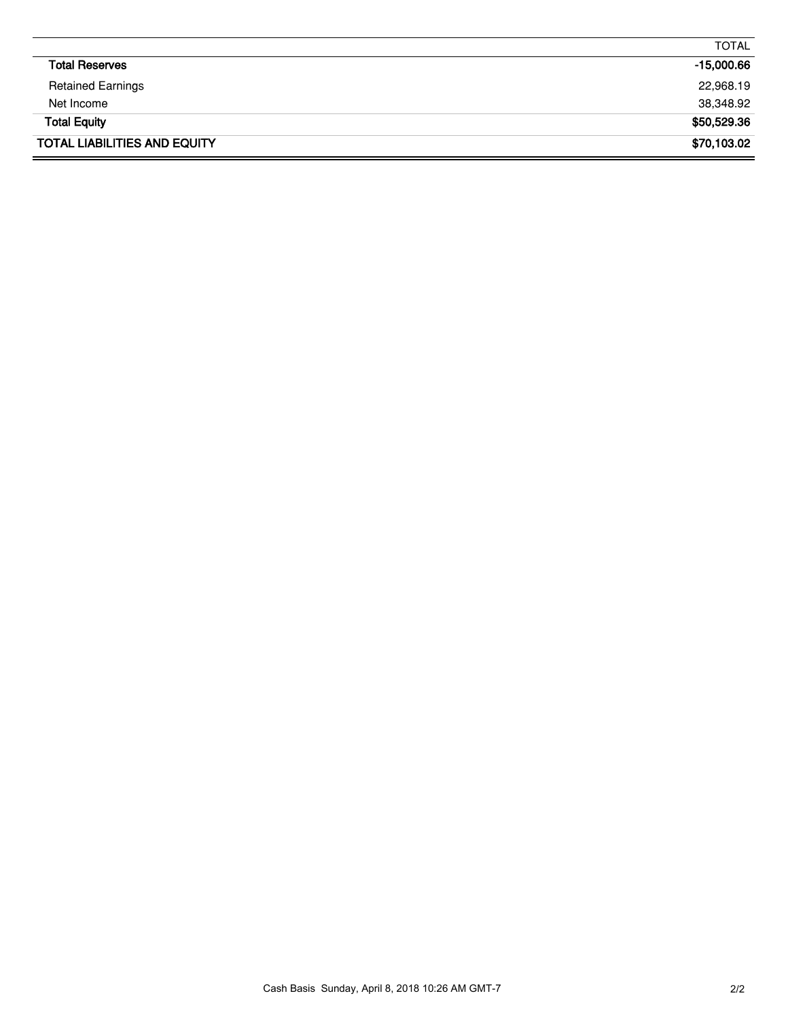|                                     | <b>TOTAL</b> |
|-------------------------------------|--------------|
| <b>Total Reserves</b>               | $-15,000.66$ |
| <b>Retained Earnings</b>            | 22,968.19    |
| Net Income                          | 38,348.92    |
| <b>Total Equity</b>                 | \$50,529.36  |
| <b>TOTAL LIABILITIES AND EQUITY</b> | \$70,103.02  |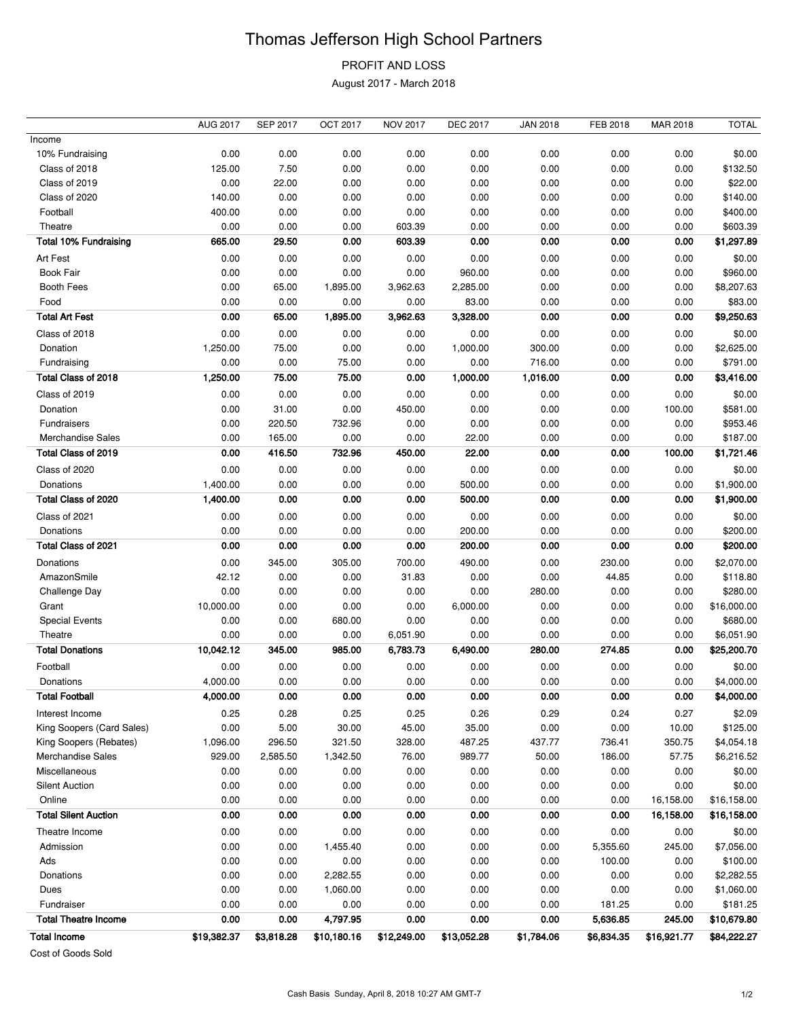## Thomas Jefferson High School Partners

## PROFIT AND LOSS

August 2017 - March 2018

|                              | <b>AUG 2017</b> | <b>SEP 2017</b> | <b>OCT 2017</b> | <b>NOV 2017</b> | <b>DEC 2017</b> | <b>JAN 2018</b> | FEB 2018   | MAR 2018    | <b>TOTAL</b> |
|------------------------------|-----------------|-----------------|-----------------|-----------------|-----------------|-----------------|------------|-------------|--------------|
| Income                       |                 |                 |                 |                 |                 |                 |            |             |              |
| 10% Fundraising              | 0.00            | 0.00            | 0.00            | 0.00            | 0.00            | 0.00            | 0.00       | 0.00        | \$0.00       |
| Class of 2018                | 125.00          | 7.50            | 0.00            | 0.00            | 0.00            | 0.00            | 0.00       | 0.00        | \$132.50     |
| Class of 2019                | 0.00            | 22.00           | 0.00            | 0.00            | 0.00            | 0.00            | 0.00       | 0.00        | \$22.00      |
| Class of 2020                | 140.00          | 0.00            | 0.00            | 0.00            | 0.00            | 0.00            | 0.00       | 0.00        | \$140.00     |
| Football                     | 400.00          | 0.00            | 0.00            | 0.00            | 0.00            | 0.00            | 0.00       | 0.00        | \$400.00     |
| Theatre                      | 0.00            | 0.00            | 0.00            | 603.39          | 0.00            | 0.00            | 0.00       | 0.00        | \$603.39     |
| <b>Total 10% Fundraising</b> | 665.00          | 29.50           | 0.00            | 603.39          | 0.00            | 0.00            | 0.00       | 0.00        | \$1,297.89   |
| Art Fest                     | 0.00            | 0.00            | 0.00            | 0.00            | 0.00            | 0.00            | 0.00       | 0.00        | \$0.00       |
| <b>Book Fair</b>             | 0.00            | 0.00            | 0.00            | 0.00            | 960.00          | 0.00            | 0.00       | 0.00        | \$960.00     |
| Booth Fees                   | 0.00            | 65.00           | 1,895.00        | 3,962.63        | 2,285.00        | 0.00            | 0.00       | 0.00        | \$8,207.63   |
| Food                         | 0.00            | 0.00            | 0.00            | 0.00            | 83.00           | 0.00            | 0.00       | 0.00        | \$83.00      |
| <b>Total Art Fest</b>        | 0.00            | 65.00           | 1,895.00        | 3,962.63        | 3,328.00        | 0.00            | 0.00       | 0.00        | \$9,250.63   |
| Class of 2018                | 0.00            | 0.00            | 0.00            | 0.00            | 0.00            | 0.00            | 0.00       | 0.00        | \$0.00       |
| Donation                     | 1,250.00        | 75.00           | 0.00            | 0.00            | 1,000.00        | 300.00          | 0.00       | 0.00        | \$2,625.00   |
| Fundraising                  | 0.00            | 0.00            | 75.00           | 0.00            | 0.00            | 716.00          | 0.00       | 0.00        | \$791.00     |
| Total Class of 2018          | 1,250.00        | 75.00           | 75.00           | 0.00            | 1,000.00        | 1,016.00        | 0.00       | 0.00        | \$3,416.00   |
| Class of 2019                | 0.00            | 0.00            | 0.00            | 0.00            | 0.00            | 0.00            | 0.00       | 0.00        | \$0.00       |
| Donation                     | 0.00            | 31.00           | 0.00            | 450.00          | 0.00            | 0.00            | 0.00       | 100.00      | \$581.00     |
| Fundraisers                  | 0.00            | 220.50          | 732.96          | 0.00            | 0.00            | 0.00            | 0.00       | 0.00        | \$953.46     |
| <b>Merchandise Sales</b>     | 0.00            | 165.00          | 0.00            | 0.00            | 22.00           | 0.00            | 0.00       | 0.00        | \$187.00     |
| Total Class of 2019          | 0.00            | 416.50          | 732.96          | 450.00          | 22.00           | 0.00            | 0.00       | 100.00      | \$1,721.46   |
| Class of 2020                | 0.00            | 0.00            | 0.00            | 0.00            | 0.00            | 0.00            | 0.00       | 0.00        | \$0.00       |
| Donations                    | 1,400.00        | 0.00            | 0.00            | 0.00            | 500.00          | 0.00            | 0.00       | 0.00        | \$1,900.00   |
| Total Class of 2020          | 1,400.00        | 0.00            | 0.00            | 0.00            | 500.00          | 0.00            | 0.00       | 0.00        | \$1,900.00   |
| Class of 2021                | 0.00            | 0.00            | 0.00            | 0.00            | 0.00            | 0.00            | 0.00       | 0.00        | \$0.00       |
| Donations                    | 0.00            | 0.00            | 0.00            | 0.00            | 200.00          | 0.00            | 0.00       | 0.00        | \$200.00     |
| Total Class of 2021          | 0.00            | 0.00            | 0.00            | 0.00            | 200.00          | 0.00            | 0.00       | 0.00        | \$200.00     |
| Donations                    | 0.00            | 345.00          | 305.00          | 700.00          | 490.00          | 0.00            | 230.00     | 0.00        | \$2,070.00   |
| AmazonSmile                  | 42.12           | 0.00            | 0.00            | 31.83           | 0.00            | 0.00            | 44.85      | 0.00        | \$118.80     |
| Challenge Day                | 0.00            | 0.00            | 0.00            | 0.00            | 0.00            | 280.00          | 0.00       | 0.00        | \$280.00     |
| Grant                        | 10,000.00       | 0.00            | 0.00            | 0.00            | 6,000.00        | 0.00            | 0.00       | 0.00        | \$16,000.00  |
| <b>Special Events</b>        | 0.00            | 0.00            | 680.00          | 0.00            | 0.00            | 0.00            | 0.00       | 0.00        | \$680.00     |
| Theatre                      | 0.00            | 0.00            | 0.00            | 6,051.90        | 0.00            | 0.00            | 0.00       | 0.00        | \$6,051.90   |
| <b>Total Donations</b>       | 10,042.12       | 345.00          | 985.00          | 6,783.73        | 6,490.00        | 280.00          | 274.85     | 0.00        | \$25,200.70  |
| Football                     | 0.00            | 0.00            | 0.00            | 0.00            | 0.00            | 0.00            | 0.00       | 0.00        | \$0.00       |
| Donations                    | 4,000.00        | 0.00            | 0.00            | 0.00            | 0.00            | 0.00            | 0.00       | 0.00        | \$4,000.00   |
| <b>Total Football</b>        | 4,000.00        | 0.00            | 0.00            | 0.00            | 0.00            | 0.00            | 0.00       | 0.00        | \$4,000.00   |
| Interest Income              | 0.25            | 0.28            | 0.25            | 0.25            | 0.26            | 0.29            | 0.24       | 0.27        | \$2.09       |
| King Soopers (Card Sales)    | 0.00            | 5.00            | 30.00           | 45.00           | 35.00           | 0.00            | 0.00       | 10.00       | \$125.00     |
| King Soopers (Rebates)       | 1,096.00        | 296.50          | 321.50          | 328.00          | 487.25          | 437.77          | 736.41     | 350.75      | \$4,054.18   |
| Merchandise Sales            | 929.00          | 2,585.50        | 1,342.50        | 76.00           | 989.77          | 50.00           | 186.00     | 57.75       | \$6,216.52   |
| Miscellaneous                | 0.00            | 0.00            | 0.00            | 0.00            | 0.00            | 0.00            | 0.00       | 0.00        | \$0.00       |
| <b>Silent Auction</b>        | 0.00            | 0.00            | 0.00            | 0.00            | 0.00            | 0.00            | 0.00       | 0.00        | \$0.00       |
| Online                       | 0.00            | 0.00            | 0.00            | 0.00            | 0.00            | 0.00            | 0.00       | 16,158.00   | \$16,158.00  |
| <b>Total Silent Auction</b>  | 0.00            | 0.00            | 0.00            | 0.00            | 0.00            | 0.00            | 0.00       | 16,158.00   | \$16,158.00  |
| Theatre Income               | 0.00            | 0.00            | 0.00            | 0.00            | 0.00            | 0.00            | 0.00       | 0.00        | \$0.00       |
| Admission                    | 0.00            | 0.00            | 1,455.40        | 0.00            | 0.00            | 0.00            | 5,355.60   | 245.00      | \$7,056.00   |
| Ads                          | 0.00            | 0.00            | 0.00            | 0.00            | 0.00            | 0.00            | 100.00     | 0.00        | \$100.00     |
| Donations                    | 0.00            | 0.00            | 2,282.55        | 0.00            | 0.00            | 0.00            | 0.00       | 0.00        | \$2,282.55   |
| Dues                         | 0.00            | 0.00            | 1,060.00        | 0.00            | 0.00            | 0.00            | 0.00       | 0.00        | \$1,060.00   |
| Fundraiser                   | 0.00            | 0.00            | 0.00            | 0.00            | 0.00            | 0.00            | 181.25     | 0.00        | \$181.25     |
| <b>Total Theatre Income</b>  | 0.00            | 0.00            | 4,797.95        | 0.00            | 0.00            | 0.00            | 5,636.85   | 245.00      | \$10,679.80  |
| <b>Total Income</b>          | \$19,382.37     | \$3,818.28      | \$10,180.16     | \$12,249.00     | \$13,052.28     | \$1,784.06      | \$6,834.35 | \$16,921.77 | \$84,222.27  |
|                              |                 |                 |                 |                 |                 |                 |            |             |              |

Cost of Goods Sold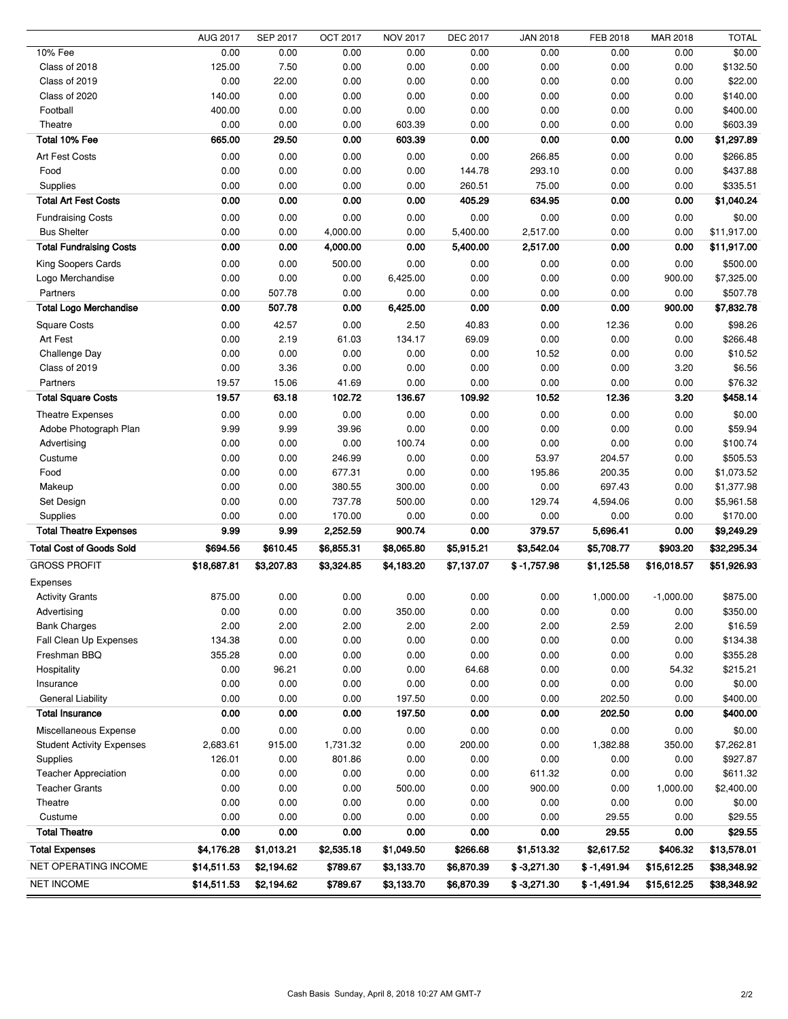|                                  | <b>AUG 2017</b> | SEP 2017     | <b>OCT 2017</b> | <b>NOV 2017</b>  | <b>DEC 2017</b> | <b>JAN 2018</b> | FEB 2018      | MAR 2018    | <b>TOTAL</b>           |
|----------------------------------|-----------------|--------------|-----------------|------------------|-----------------|-----------------|---------------|-------------|------------------------|
| 10% Fee                          | 0.00            | 0.00         | 0.00            | 0.00             | 0.00            | 0.00            | 0.00          | 0.00        | \$0.00                 |
| Class of 2018                    | 125.00          | 7.50         | 0.00            | 0.00             | 0.00            | 0.00            | 0.00          | 0.00        | \$132.50               |
| Class of 2019                    | 0.00            | 22.00        | 0.00            | 0.00             | 0.00            | 0.00            | 0.00          | 0.00        | \$22.00                |
| Class of 2020                    | 140.00          | 0.00         | 0.00            | 0.00             | 0.00            | 0.00            | 0.00          | 0.00        | \$140.00               |
| Football                         | 400.00          | 0.00         | 0.00            | 0.00             | 0.00            | 0.00            | 0.00          | 0.00        | \$400.00               |
| Theatre                          | 0.00            | 0.00         | 0.00            | 603.39           | 0.00            | 0.00            | 0.00          | 0.00        | \$603.39               |
| Total 10% Fee                    | 665.00          | 29.50        | 0.00            | 603.39           | 0.00            | 0.00            | 0.00          | 0.00        | \$1,297.89             |
| Art Fest Costs                   | 0.00            | 0.00         | 0.00            | 0.00             | 0.00            | 266.85          | 0.00          | 0.00        | \$266.85               |
| Food                             | 0.00            | 0.00         | 0.00            | 0.00             | 144.78          | 293.10          | 0.00          | 0.00        | \$437.88               |
| Supplies                         | 0.00            | 0.00         | 0.00            | 0.00             | 260.51          | 75.00           | 0.00          | 0.00        | \$335.51               |
| <b>Total Art Fest Costs</b>      | 0.00            | 0.00         | 0.00            | 0.00             | 405.29          | 634.95          | 0.00          | 0.00        | \$1,040.24             |
| <b>Fundraising Costs</b>         | 0.00            | 0.00         | 0.00            | 0.00             | 0.00            | 0.00            | 0.00          | 0.00        | \$0.00                 |
| <b>Bus Shelter</b>               | 0.00            | 0.00         | 4,000.00        | 0.00             | 5,400.00        | 2,517.00        | 0.00          | 0.00        | \$11,917.00            |
| <b>Total Fundraising Costs</b>   | 0.00            | 0.00         | 4,000.00        | 0.00             | 5,400.00        | 2,517.00        | 0.00          | 0.00        | \$11,917.00            |
|                                  |                 |              |                 | 0.00             | 0.00            |                 |               |             | \$500.00               |
| King Soopers Cards               | 0.00            | 0.00<br>0.00 | 500.00          |                  | 0.00            | 0.00<br>0.00    | 0.00          | 0.00        |                        |
| Logo Merchandise<br>Partners     | 0.00            | 507.78       | 0.00<br>0.00    | 6,425.00<br>0.00 | 0.00            | 0.00            | 0.00          | 900.00      | \$7,325.00<br>\$507.78 |
|                                  | 0.00            |              |                 |                  |                 |                 | 0.00          | 0.00        |                        |
| <b>Total Logo Merchandise</b>    | 0.00            | 507.78       | 0.00            | 6,425.00         | 0.00            | 0.00            | 0.00          | 900.00      | \$7,832.78             |
| <b>Square Costs</b>              | 0.00            | 42.57        | 0.00            | 2.50             | 40.83           | 0.00            | 12.36         | 0.00        | \$98.26                |
| Art Fest                         | 0.00            | 2.19         | 61.03           | 134.17           | 69.09           | 0.00            | 0.00          | 0.00        | \$266.48               |
| Challenge Day                    | 0.00            | 0.00         | 0.00            | 0.00             | 0.00            | 10.52           | 0.00          | 0.00        | \$10.52                |
| Class of 2019                    | 0.00            | 3.36         | 0.00            | 0.00             | 0.00            | 0.00            | 0.00          | 3.20        | \$6.56                 |
| Partners                         | 19.57           | 15.06        | 41.69           | 0.00             | 0.00            | 0.00            | 0.00          | 0.00        | \$76.32                |
| <b>Total Square Costs</b>        | 19.57           | 63.18        | 102.72          | 136.67           | 109.92          | 10.52           | 12.36         | 3.20        | \$458.14               |
| Theatre Expenses                 | 0.00            | 0.00         | 0.00            | 0.00             | 0.00            | 0.00            | 0.00          | 0.00        | \$0.00                 |
| Adobe Photograph Plan            | 9.99            | 9.99         | 39.96           | 0.00             | 0.00            | 0.00            | 0.00          | 0.00        | \$59.94                |
| Advertising                      | 0.00            | 0.00         | 0.00            | 100.74           | 0.00            | 0.00            | 0.00          | 0.00        | \$100.74               |
| Custume                          | 0.00            | 0.00         | 246.99          | 0.00             | 0.00            | 53.97           | 204.57        | 0.00        | \$505.53               |
| Food                             | 0.00            | 0.00         | 677.31          | 0.00             | 0.00            | 195.86          | 200.35        | 0.00        | \$1,073.52             |
| Makeup                           | 0.00            | 0.00         | 380.55          | 300.00           | 0.00            | 0.00            | 697.43        | 0.00        | \$1,377.98             |
| Set Design                       | 0.00            | 0.00         | 737.78          | 500.00           | 0.00            | 129.74          | 4,594.06      | 0.00        | \$5,961.58             |
| <b>Supplies</b>                  | 0.00            | 0.00         | 170.00          | 0.00             | 0.00            | 0.00            | 0.00          | 0.00        | \$170.00               |
| <b>Total Theatre Expenses</b>    | 9.99            | 9.99         | 2,252.59        | 900.74           | 0.00            | 379.57          | 5,696.41      | 0.00        | \$9,249.29             |
| <b>Total Cost of Goods Sold</b>  | \$694.56        | \$610.45     | \$6,855.31      | \$8,065.80       | \$5,915.21      | \$3,542.04      | \$5,708.77    | \$903.20    | \$32,295.34            |
| <b>GROSS PROFIT</b>              | \$18,687.81     | \$3,207.83   | \$3,324.85      | \$4,183.20       | \$7,137.07      | $$ -1,757.98$   | \$1,125.58    | \$16,018.57 | \$51,926.93            |
| Expenses                         |                 |              |                 |                  |                 |                 |               |             |                        |
| <b>Activity Grants</b>           | 875.00          | 0.00         | 0.00            | 0.00             | 0.00            | 0.00            | 1,000.00      | $-1,000.00$ | \$875.00               |
| Advertising                      | 0.00            | 0.00         | 0.00            | 350.00           | 0.00            | 0.00            | 0.00          | 0.00        | \$350.00               |
| <b>Bank Charges</b>              | 2.00            | 2.00         | 2.00            | 2.00             | 2.00            | 2.00            | 2.59          | 2.00        | \$16.59                |
| Fall Clean Up Expenses           | 134.38          | 0.00         | 0.00            | 0.00             | 0.00            | 0.00            | 0.00          | 0.00        | \$134.38               |
| Freshman BBQ                     | 355.28          | 0.00         | 0.00            | 0.00             | 0.00            | 0.00            | 0.00          | 0.00        | \$355.28               |
| Hospitality                      | 0.00            | 96.21        | 0.00            | 0.00             | 64.68           | 0.00            | 0.00          | 54.32       | \$215.21               |
| Insurance                        | 0.00            | 0.00         | 0.00            | 0.00             | 0.00            | 0.00            | 0.00          | 0.00        | \$0.00                 |
| <b>General Liability</b>         | 0.00            | 0.00         | 0.00            | 197.50           | 0.00            | 0.00            | 202.50        | 0.00        | \$400.00               |
| <b>Total Insurance</b>           | 0.00            | 0.00         | 0.00            | 197.50           | 0.00            | 0.00            | 202.50        | 0.00        | \$400.00               |
|                                  |                 |              |                 |                  |                 |                 |               |             |                        |
| Miscellaneous Expense            | 0.00            | 0.00         | 0.00            | 0.00             | 0.00            | 0.00            | 0.00          | 0.00        | \$0.00                 |
| <b>Student Activity Expenses</b> | 2,683.61        | 915.00       | 1,731.32        | 0.00             | 200.00          | 0.00            | 1,382.88      | 350.00      | \$7,262.81             |
| Supplies                         | 126.01          | 0.00         | 801.86          | 0.00             | 0.00            | 0.00            | 0.00          | 0.00        | \$927.87               |
| <b>Teacher Appreciation</b>      | 0.00            | 0.00         | 0.00            | 0.00             | 0.00            | 611.32          | 0.00          | 0.00        | \$611.32               |
| <b>Teacher Grants</b>            | 0.00            | 0.00         | 0.00            | 500.00           | 0.00            | 900.00          | 0.00          | 1,000.00    | \$2,400.00             |
| Theatre                          | 0.00            | 0.00         | 0.00            | 0.00             | 0.00            | 0.00            | 0.00          | 0.00        | \$0.00                 |
| Custume                          | 0.00            | 0.00         | 0.00            | 0.00             | 0.00            | 0.00            | 29.55         | 0.00        | \$29.55                |
| <b>Total Theatre</b>             | 0.00            | 0.00         | 0.00            | 0.00             | 0.00            | 0.00            | 29.55         | 0.00        | \$29.55                |
| <b>Total Expenses</b>            | \$4,176.28      | \$1,013.21   | \$2,535.18      | \$1,049.50       | \$266.68        | \$1,513.32      | \$2,617.52    | \$406.32    | \$13,578.01            |
| <b>NET OPERATING INCOME</b>      | \$14,511.53     | \$2,194.62   | \$789.67        | \$3,133.70       | \$6,870.39      | $$ -3,271.30$   | $$ -1,491.94$ | \$15,612.25 | \$38,348.92            |
| <b>NET INCOME</b>                | \$14,511.53     | \$2,194.62   | \$789.67        | \$3,133.70       | \$6,870.39      | $$ -3,271.30$   | $$ -1,491.94$ | \$15,612.25 | \$38,348.92            |
|                                  |                 |              |                 |                  |                 |                 |               |             |                        |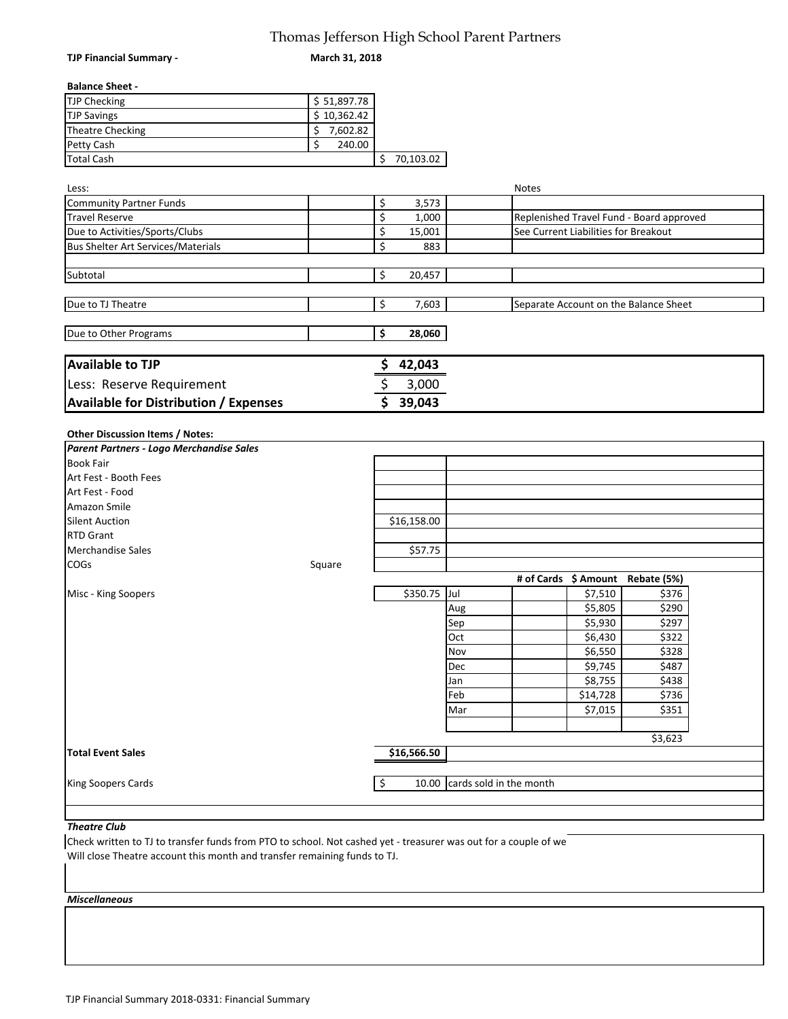## Thomas Jefferson High School Parent Partners

**TJP Financial Summary ‐** 

**March 31, 2018**

#### **Balance Sheet ‐**

| <b>TJP Checking</b> | \$51,897.78 |           |
|---------------------|-------------|-----------|
| <b>TJP Savings</b>  | \$10,362.42 |           |
| Theatre Checking    | 7,602.82    |           |
| <b>Petty Cash</b>   | 240.00      |           |
| <b>Total Cash</b>   |             | 70,103.02 |

| Less:                                     |        | Notes                                    |
|-------------------------------------------|--------|------------------------------------------|
| Community Partner Funds                   | 3,573  |                                          |
| Travel Reserve                            | 1,000  | Replenished Travel Fund - Board approved |
| Due to Activities/Sports/Clubs            | 15,001 | See Current Liabilities for Breakout     |
| <b>Bus Shelter Art Services/Materials</b> | 883    |                                          |
|                                           |        |                                          |
| Subtotal                                  | 20,457 |                                          |
|                                           |        |                                          |
| Due to TJ Theatre                         | 7,603  | Separate Account on the Balance Sheet    |
|                                           |        |                                          |
| Due to Other Programs                     | 28,060 |                                          |
|                                           |        |                                          |
| <b>Available to TJP</b>                   | 42,043 |                                          |

| <b>ILLAN DIRECTE</b>                         | נדט, בד נ |
|----------------------------------------------|-----------|
| Less: Reserve Requirement                    | 3.000     |
| <b>Available for Distribution / Expenses</b> | 39.043    |

#### **Other Discussion Items / Notes:**

| Parent Partners - Logo Merchandise Sales |        |             |                               |          |                                  |  |
|------------------------------------------|--------|-------------|-------------------------------|----------|----------------------------------|--|
| <b>Book Fair</b>                         |        |             |                               |          |                                  |  |
| Art Fest - Booth Fees                    |        |             |                               |          |                                  |  |
| Art Fest - Food                          |        |             |                               |          |                                  |  |
| Amazon Smile                             |        |             |                               |          |                                  |  |
| <b>Silent Auction</b>                    |        | \$16,158.00 |                               |          |                                  |  |
| <b>RTD Grant</b>                         |        |             |                               |          |                                  |  |
| <b>Merchandise Sales</b>                 |        | \$57.75     |                               |          |                                  |  |
| <b>COGs</b>                              | Square |             |                               |          |                                  |  |
|                                          |        |             |                               |          | # of Cards \$ Amount Rebate (5%) |  |
| Misc - King Soopers                      |        | \$350.75    | Jul                           | \$7,510  | \$376                            |  |
|                                          |        |             | Aug                           | \$5,805  | \$290                            |  |
|                                          |        |             | Sep                           | \$5,930  | \$297                            |  |
|                                          |        |             | Oct                           | \$6,430  | \$322                            |  |
|                                          |        |             | Nov                           | \$6,550  | \$328                            |  |
|                                          |        |             | <b>Dec</b>                    | \$9,745  | \$487                            |  |
|                                          |        |             | Jan                           | \$8,755  | \$438                            |  |
|                                          |        |             | Feb                           | \$14,728 | \$736                            |  |
|                                          |        |             | Mar                           | \$7,015  | \$351                            |  |
|                                          |        |             |                               |          |                                  |  |
|                                          |        |             |                               |          | \$3,623                          |  |
| <b>Total Event Sales</b>                 |        | \$16,566.50 |                               |          |                                  |  |
|                                          |        |             |                               |          |                                  |  |
| King Soopers Cards                       |        | \$          | 10.00 cards sold in the month |          |                                  |  |

#### *Theatre Club*

Will close Theatre account this month and transfer remaining funds to TJ. Check written to TJ to transfer funds from PTO to school. Not cashed yet ‐ treasurer was out for a couple of we

#### *Miscellaneous*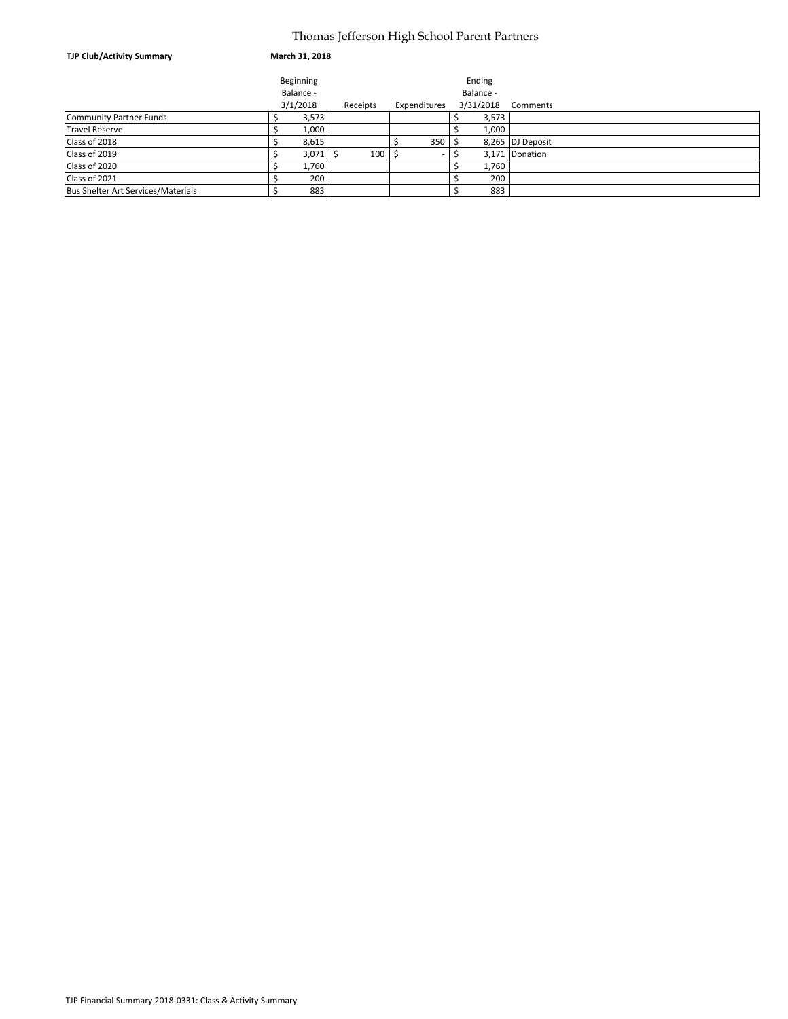### Thomas Jefferson High School Parent Partners

| <b>TJP Club/Activity Summary</b>          | March 31, 2018 |          |                          |           |                  |
|-------------------------------------------|----------------|----------|--------------------------|-----------|------------------|
|                                           | Beginning      |          |                          | Ending    |                  |
|                                           | Balance -      |          |                          | Balance - |                  |
|                                           | 3/1/2018       | Receipts | Expenditures             | 3/31/2018 | Comments         |
| <b>Community Partner Funds</b>            | 3,573          |          |                          | 3,573     |                  |
| <b>Travel Reserve</b>                     | 1,000          |          |                          |           | 1,000            |
| Class of 2018                             | 8,615          |          | 350                      |           | 8,265 DJ Deposit |
| Class of 2019                             | 3,071          | 100      | $\overline{\phantom{a}}$ |           | 3,171 Donation   |
| Class of 2020                             | 1,760          |          |                          |           | 1,760            |
| Class of 2021                             | 200            |          |                          |           | 200              |
| <b>Bus Shelter Art Services/Materials</b> | 883            |          |                          |           | 883              |